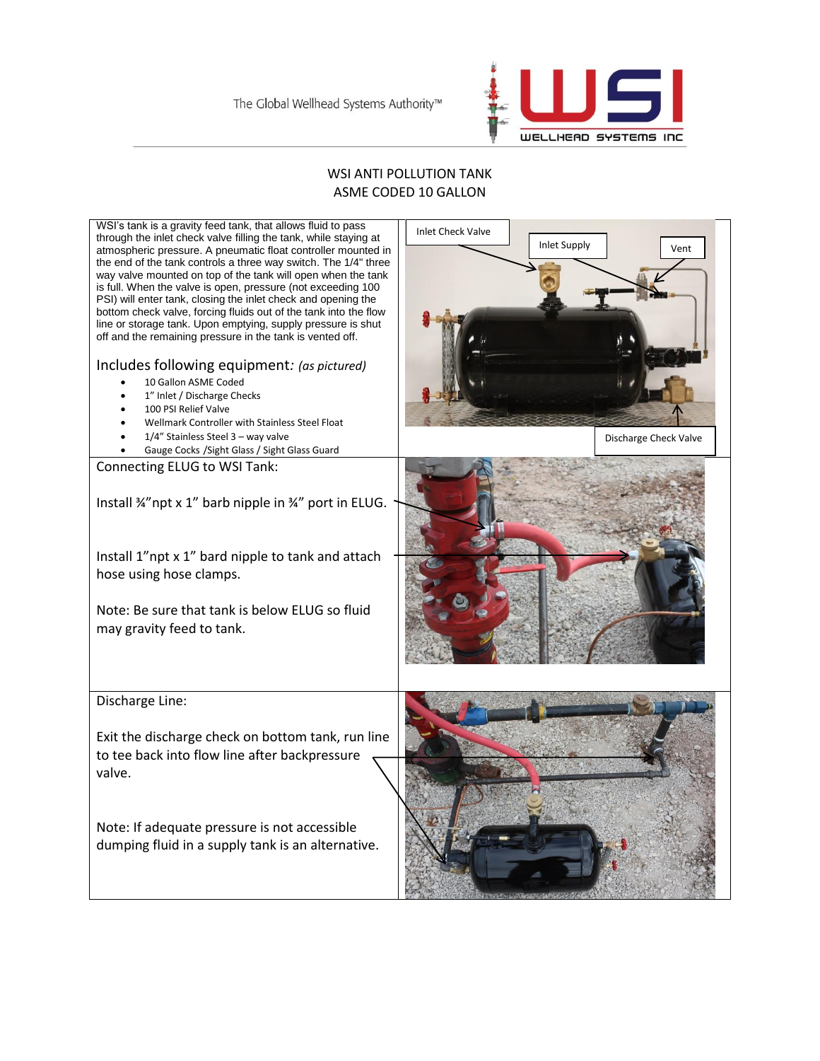

## WSI ANTI POLLUTION TANK ASME CODED 10 GALLON